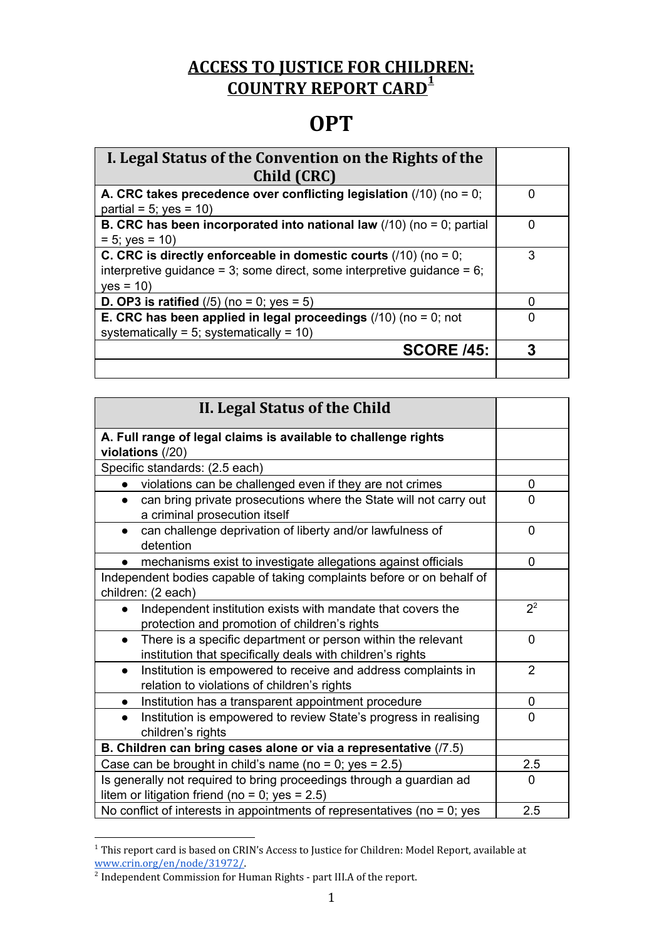## **ACCESS TO JUSTICE FOR CHILDREN: COUNTRY REPORT CARD 1**

## **OPT**

| I. Legal Status of the Convention on the Rights of the                        |   |
|-------------------------------------------------------------------------------|---|
| Child (CRC)                                                                   |   |
| A. CRC takes precedence over conflicting legislation $(10)$ (no = 0;          |   |
| partial = $5$ ; yes = 10)                                                     |   |
| <b>B. CRC has been incorporated into national law</b> $(10)$ (no = 0; partial |   |
| $= 5$ ; yes $= 10$ )                                                          |   |
| C. CRC is directly enforceable in domestic courts $(10)$ (no = 0;             | 3 |
| interpretive guidance = 3; some direct, some interpretive guidance = $6$ ;    |   |
| $yes = 10$                                                                    |   |
| <b>D. OP3 is ratified</b> $(75)$ (no = 0; yes = 5)                            |   |
| E. CRC has been applied in legal proceedings $(10)$ (no = 0; not              |   |
| systematically = 5; systematically = $10$ )                                   |   |
| <b>SCORE /45:</b>                                                             |   |
|                                                                               |   |

| II. Legal Status of the Child                                                                                                           |                |
|-----------------------------------------------------------------------------------------------------------------------------------------|----------------|
| A. Full range of legal claims is available to challenge rights<br>violations (/20)                                                      |                |
| Specific standards: (2.5 each)                                                                                                          |                |
| violations can be challenged even if they are not crimes                                                                                | 0              |
| can bring private prosecutions where the State will not carry out<br>$\bullet$<br>a criminal prosecution itself                         | 0              |
| can challenge deprivation of liberty and/or lawfulness of<br>$\bullet$<br>detention                                                     | $\mathbf{0}$   |
| mechanisms exist to investigate allegations against officials                                                                           | 0              |
| Independent bodies capable of taking complaints before or on behalf of<br>children: (2 each)                                            |                |
| Independent institution exists with mandate that covers the<br>$\bullet$<br>protection and promotion of children's rights               | $2^2$          |
| There is a specific department or person within the relevant<br>$\bullet$<br>institution that specifically deals with children's rights | $\Omega$       |
| Institution is empowered to receive and address complaints in<br>$\bullet$<br>relation to violations of children's rights               | $\overline{2}$ |
| Institution has a transparent appointment procedure<br>$\bullet$                                                                        | $\mathbf 0$    |
| Institution is empowered to review State's progress in realising<br>children's rights                                                   | 0              |
| B. Children can bring cases alone or via a representative (/7.5)                                                                        |                |
| Case can be brought in child's name (no = 0; yes = $2.5$ )                                                                              | 2.5            |
| Is generally not required to bring proceedings through a guardian ad<br>litem or litigation friend (no = 0; yes = $2.5$ )               | $\mathbf{0}$   |
| No conflict of interests in appointments of representatives (no $= 0$ ; yes                                                             | 2.5            |

<sup>&</sup>lt;sup>1</sup> This repor[t](http://www.crin.org/en/node/31972/) card is based on CRIN's Access to Justice for Children: Model Report, available at [www.crin.org/en/node/31972/](http://www.crin.org/en/node/31972/).

<sup>&</sup>lt;sup>2</sup> Independent Commission for Human Rights - part III.A of the report.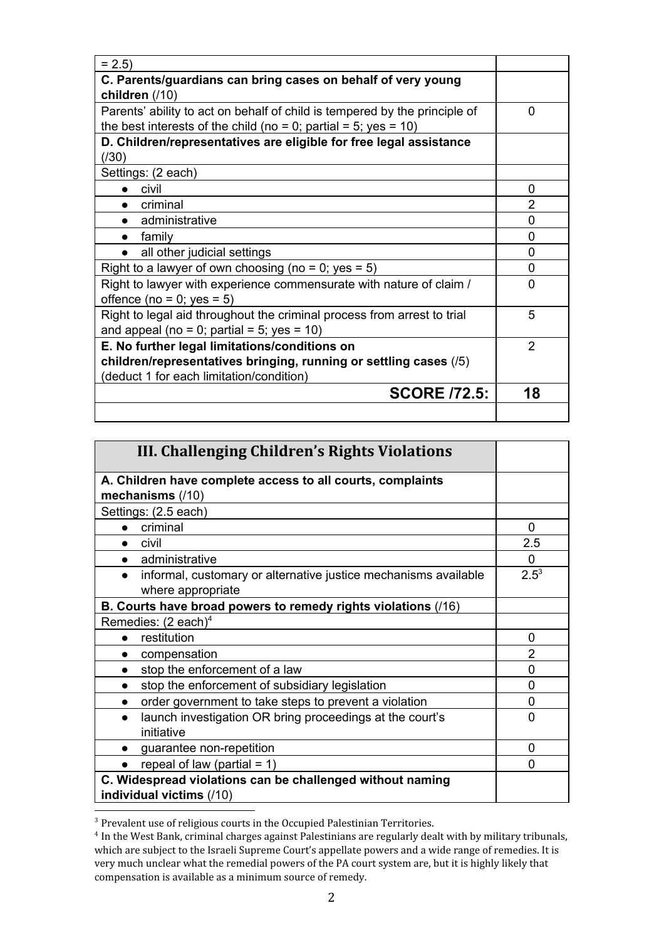| $= 2.5$                                                                                                                                       |               |
|-----------------------------------------------------------------------------------------------------------------------------------------------|---------------|
| C. Parents/guardians can bring cases on behalf of very young                                                                                  |               |
| children (/10)                                                                                                                                |               |
| Parents' ability to act on behalf of child is tempered by the principle of<br>the best interests of the child (no = 0; partial = 5; yes = 10) | $\Omega$      |
| D. Children/representatives are eligible for free legal assistance                                                                            |               |
| (730)                                                                                                                                         |               |
| Settings: (2 each)                                                                                                                            |               |
| civil                                                                                                                                         | 0             |
| criminal                                                                                                                                      | 2             |
| administrative                                                                                                                                | $\Omega$      |
| family                                                                                                                                        | 0             |
| all other judicial settings                                                                                                                   | 0             |
| Right to a lawyer of own choosing (no = 0; yes = 5)                                                                                           | 0             |
| Right to lawyer with experience commensurate with nature of claim /                                                                           | 0             |
| offence (no = $0$ ; yes = $5$ )                                                                                                               |               |
| Right to legal aid throughout the criminal process from arrest to trial                                                                       | 5             |
| and appeal (no = 0; partial = 5; yes = $10$ )                                                                                                 |               |
| E. No further legal limitations/conditions on                                                                                                 | $\mathcal{P}$ |
| children/representatives bringing, running or settling cases (/5)                                                                             |               |
| (deduct 1 for each limitation/condition)                                                                                                      |               |
| <b>SCORE /72.5:</b>                                                                                                                           | 18            |
|                                                                                                                                               |               |

| III. Challenging Children's Rights Violations                                         |                |
|---------------------------------------------------------------------------------------|----------------|
| A. Children have complete access to all courts, complaints                            |                |
| mechanisms (/10)                                                                      |                |
| Settings: (2.5 each)                                                                  |                |
| criminal                                                                              | $\Omega$       |
| civil                                                                                 | 2.5            |
| administrative<br>$\bullet$                                                           | 0              |
| informal, customary or alternative justice mechanisms available<br>where appropriate  | $2.5^3$        |
| B. Courts have broad powers to remedy rights violations (/16)                         |                |
| Remedies: $(2 \text{ each})^4$                                                        |                |
| restitution                                                                           | 0              |
| compensation                                                                          | $\overline{2}$ |
| stop the enforcement of a law                                                         | 0              |
| stop the enforcement of subsidiary legislation<br>$\bullet$                           | $\Omega$       |
| order government to take steps to prevent a violation                                 | 0              |
| launch investigation OR bring proceedings at the court's<br>$\bullet$<br>initiative   | $\Omega$       |
| guarantee non-repetition                                                              | $\Omega$       |
| repeal of law (partial $= 1$ )                                                        | O              |
| C. Widespread violations can be challenged without naming<br>individual victims (/10) |                |

<sup>3</sup> Prevalent use of religious courts in the Occupied Palestinian Territories.

<sup>4</sup> In the West Bank, criminal charges against Palestinians are regularly dealt with by military tribunals, which are subject to the Israeli Supreme Court's appellate powers and a wide range of remedies. It is very much unclear what the remedial powers of the PA court system are, but it is highly likely that compensation is available as a minimum source of remedy.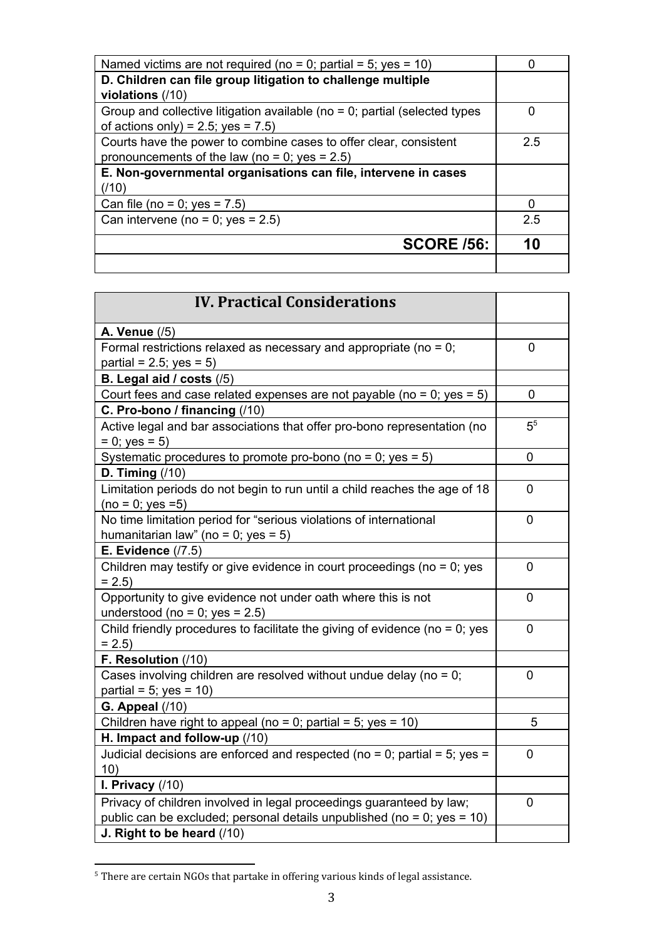| Named victims are not required (no = 0; partial = 5; yes = 10)                |     |
|-------------------------------------------------------------------------------|-----|
| D. Children can file group litigation to challenge multiple                   |     |
| violations (/10)                                                              |     |
| Group and collective litigation available (no $= 0$ ; partial (selected types | 0   |
| of actions only) = 2.5; yes = $7.5$ )                                         |     |
| Courts have the power to combine cases to offer clear, consistent             | 2.5 |
| pronouncements of the law (no = 0; yes = $2.5$ )                              |     |
| E. Non-governmental organisations can file, intervene in cases                |     |
| (/10)                                                                         |     |
| Can file (no = 0; yes = $7.5$ )                                               |     |
| Can intervene (no = $0$ ; yes = 2.5)                                          | 2.5 |
|                                                                               |     |
| <b>SCORE /56:</b>                                                             | 10  |
|                                                                               |     |

| <b>IV. Practical Considerations</b>                                                               |                |
|---------------------------------------------------------------------------------------------------|----------------|
| A. Venue (/5)                                                                                     |                |
| Formal restrictions relaxed as necessary and appropriate (no = $0$ ;                              | 0              |
| partial = $2.5$ ; yes = $5)$                                                                      |                |
| B. Legal aid / costs (/5)                                                                         |                |
| Court fees and case related expenses are not payable (no = $0$ ; yes = $5$ )                      | 0              |
| C. Pro-bono / financing (/10)                                                                     |                |
| Active legal and bar associations that offer pro-bono representation (no                          | 5 <sup>5</sup> |
| $= 0$ ; yes $= 5$ )                                                                               |                |
| Systematic procedures to promote pro-bono (no = 0; yes = $5$ )                                    | 0              |
| D. Timing $(10)$                                                                                  |                |
| Limitation periods do not begin to run until a child reaches the age of 18<br>$(no = 0; yes = 5)$ | $\overline{0}$ |
| No time limitation period for "serious violations of international                                | 0              |
| humanitarian law" (no = 0; yes = $5$ )                                                            |                |
| <b>E. Evidence (/7.5)</b>                                                                         |                |
| Children may testify or give evidence in court proceedings (no $= 0$ ; yes                        | 0              |
| $= 2.5$                                                                                           |                |
| Opportunity to give evidence not under oath where this is not                                     | 0              |
| understood (no = 0; yes = $2.5$ )                                                                 |                |
| Child friendly procedures to facilitate the giving of evidence (no = $0$ ; yes<br>$= 2.5$         | $\mathbf 0$    |
| F. Resolution (/10)                                                                               |                |
| Cases involving children are resolved without undue delay (no = $0$ ;                             | 0              |
| partial = $5$ ; yes = 10)                                                                         |                |
| <b>G. Appeal (/10)</b>                                                                            |                |
| Children have right to appeal (no = 0; partial = 5; yes = 10)                                     | 5              |
| H. Impact and follow-up (/10)                                                                     |                |
| Judicial decisions are enforced and respected (no = 0; partial = 5; yes =<br>10)                  | $\overline{0}$ |
| I. Privacy $(10)$                                                                                 |                |
| Privacy of children involved in legal proceedings guaranteed by law;                              | 0              |
| public can be excluded; personal details unpublished (no = 0; yes = 10)                           |                |
| J. Right to be heard (/10)                                                                        |                |

 $^{\rm 5}$  There are certain NGOs that partake in offering various kinds of legal assistance.